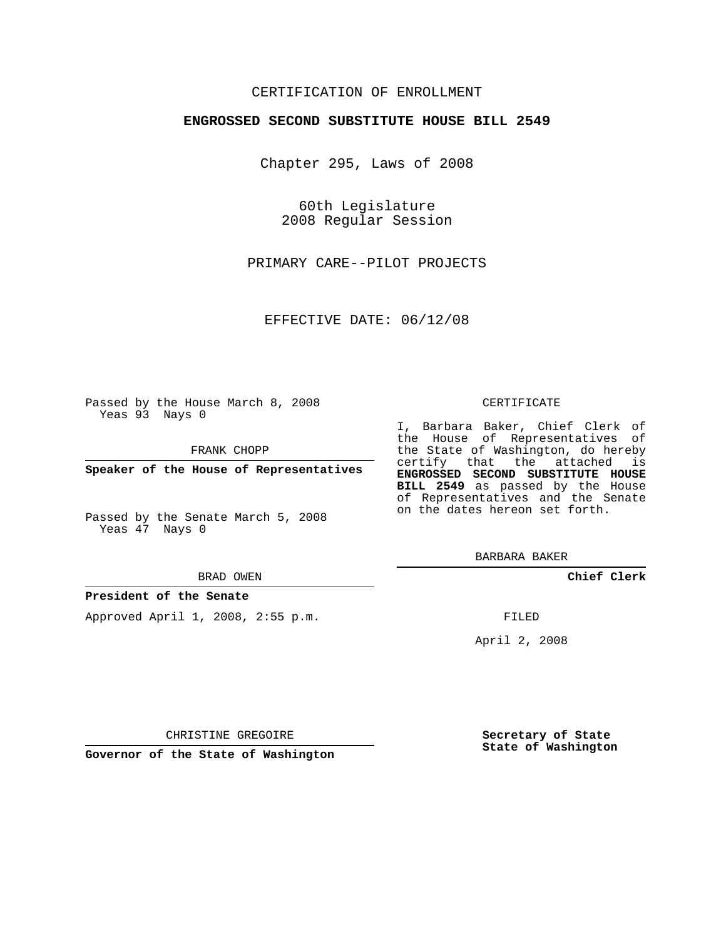## CERTIFICATION OF ENROLLMENT

## **ENGROSSED SECOND SUBSTITUTE HOUSE BILL 2549**

Chapter 295, Laws of 2008

60th Legislature 2008 Regular Session

PRIMARY CARE--PILOT PROJECTS

EFFECTIVE DATE: 06/12/08

Passed by the House March 8, 2008 Yeas 93 Nays 0

FRANK CHOPP

**Speaker of the House of Representatives**

Passed by the Senate March 5, 2008 Yeas 47 Nays 0

#### BRAD OWEN

## **President of the Senate**

Approved April 1, 2008, 2:55 p.m.

#### CERTIFICATE

I, Barbara Baker, Chief Clerk of the House of Representatives of the State of Washington, do hereby certify that the attached is **ENGROSSED SECOND SUBSTITUTE HOUSE BILL 2549** as passed by the House of Representatives and the Senate on the dates hereon set forth.

BARBARA BAKER

**Chief Clerk**

FILED

April 2, 2008

**Secretary of State State of Washington**

**Governor of the State of Washington**

CHRISTINE GREGOIRE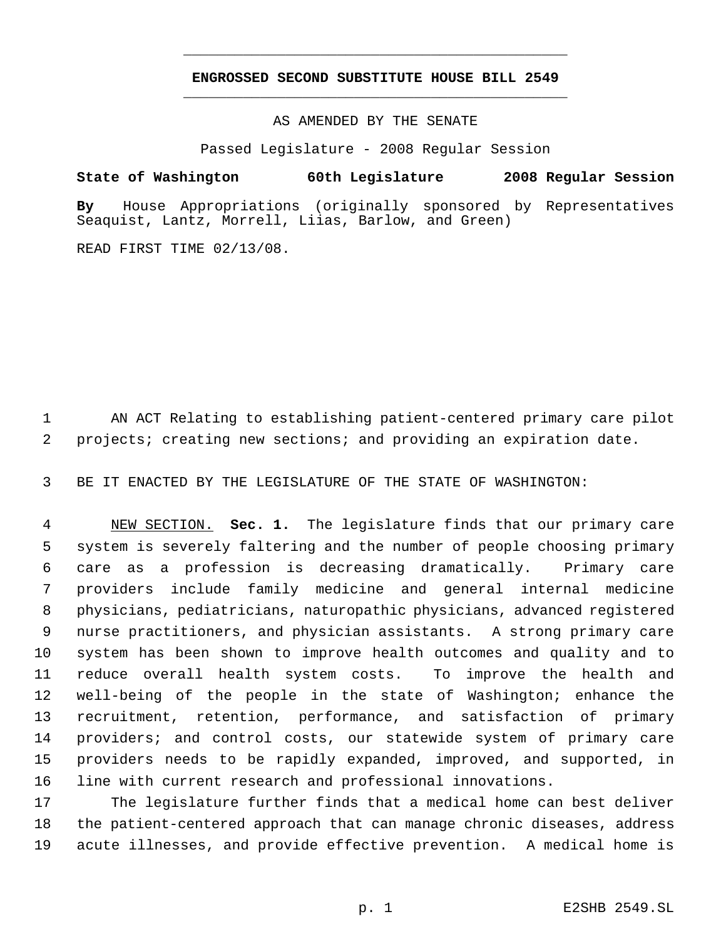# **ENGROSSED SECOND SUBSTITUTE HOUSE BILL 2549** \_\_\_\_\_\_\_\_\_\_\_\_\_\_\_\_\_\_\_\_\_\_\_\_\_\_\_\_\_\_\_\_\_\_\_\_\_\_\_\_\_\_\_\_\_

\_\_\_\_\_\_\_\_\_\_\_\_\_\_\_\_\_\_\_\_\_\_\_\_\_\_\_\_\_\_\_\_\_\_\_\_\_\_\_\_\_\_\_\_\_

AS AMENDED BY THE SENATE

Passed Legislature - 2008 Regular Session

**State of Washington 60th Legislature 2008 Regular Session By** House Appropriations (originally sponsored by Representatives Seaquist, Lantz, Morrell, Liias, Barlow, and Green)

READ FIRST TIME 02/13/08.

 AN ACT Relating to establishing patient-centered primary care pilot projects; creating new sections; and providing an expiration date.

BE IT ENACTED BY THE LEGISLATURE OF THE STATE OF WASHINGTON:

 NEW SECTION. **Sec. 1.** The legislature finds that our primary care system is severely faltering and the number of people choosing primary care as a profession is decreasing dramatically. Primary care providers include family medicine and general internal medicine physicians, pediatricians, naturopathic physicians, advanced registered nurse practitioners, and physician assistants. A strong primary care system has been shown to improve health outcomes and quality and to reduce overall health system costs. To improve the health and well-being of the people in the state of Washington; enhance the recruitment, retention, performance, and satisfaction of primary providers; and control costs, our statewide system of primary care providers needs to be rapidly expanded, improved, and supported, in line with current research and professional innovations.

 The legislature further finds that a medical home can best deliver the patient-centered approach that can manage chronic diseases, address acute illnesses, and provide effective prevention. A medical home is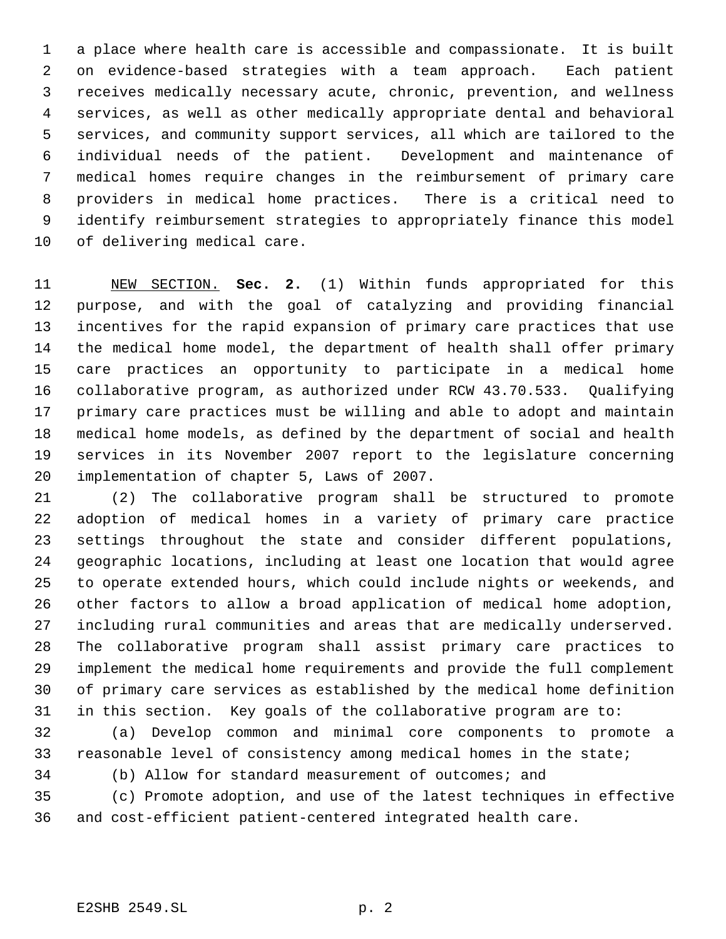a place where health care is accessible and compassionate. It is built on evidence-based strategies with a team approach. Each patient receives medically necessary acute, chronic, prevention, and wellness services, as well as other medically appropriate dental and behavioral services, and community support services, all which are tailored to the individual needs of the patient. Development and maintenance of medical homes require changes in the reimbursement of primary care providers in medical home practices. There is a critical need to identify reimbursement strategies to appropriately finance this model of delivering medical care.

 NEW SECTION. **Sec. 2.** (1) Within funds appropriated for this purpose, and with the goal of catalyzing and providing financial incentives for the rapid expansion of primary care practices that use the medical home model, the department of health shall offer primary care practices an opportunity to participate in a medical home collaborative program, as authorized under RCW 43.70.533. Qualifying primary care practices must be willing and able to adopt and maintain medical home models, as defined by the department of social and health services in its November 2007 report to the legislature concerning implementation of chapter 5, Laws of 2007.

 (2) The collaborative program shall be structured to promote adoption of medical homes in a variety of primary care practice settings throughout the state and consider different populations, geographic locations, including at least one location that would agree to operate extended hours, which could include nights or weekends, and other factors to allow a broad application of medical home adoption, including rural communities and areas that are medically underserved. The collaborative program shall assist primary care practices to implement the medical home requirements and provide the full complement of primary care services as established by the medical home definition in this section. Key goals of the collaborative program are to:

 (a) Develop common and minimal core components to promote a reasonable level of consistency among medical homes in the state;

(b) Allow for standard measurement of outcomes; and

 (c) Promote adoption, and use of the latest techniques in effective and cost-efficient patient-centered integrated health care.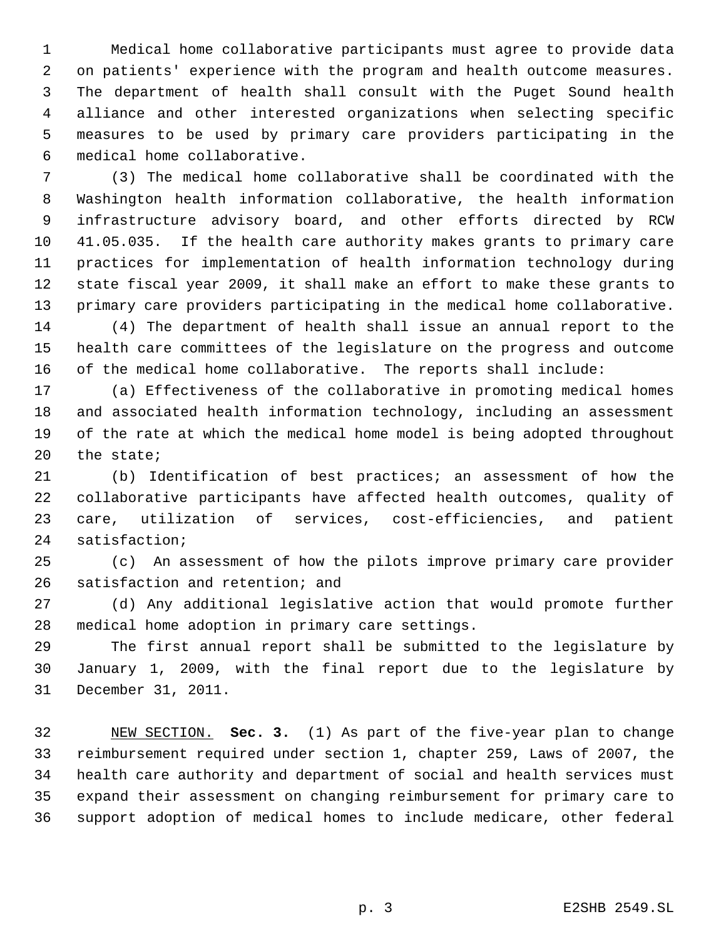Medical home collaborative participants must agree to provide data on patients' experience with the program and health outcome measures. The department of health shall consult with the Puget Sound health alliance and other interested organizations when selecting specific measures to be used by primary care providers participating in the medical home collaborative.

 (3) The medical home collaborative shall be coordinated with the Washington health information collaborative, the health information infrastructure advisory board, and other efforts directed by RCW 41.05.035. If the health care authority makes grants to primary care practices for implementation of health information technology during state fiscal year 2009, it shall make an effort to make these grants to primary care providers participating in the medical home collaborative. (4) The department of health shall issue an annual report to the

 health care committees of the legislature on the progress and outcome of the medical home collaborative. The reports shall include:

 (a) Effectiveness of the collaborative in promoting medical homes and associated health information technology, including an assessment of the rate at which the medical home model is being adopted throughout the state;

 (b) Identification of best practices; an assessment of how the collaborative participants have affected health outcomes, quality of care, utilization of services, cost-efficiencies, and patient satisfaction;

 (c) An assessment of how the pilots improve primary care provider satisfaction and retention; and

 (d) Any additional legislative action that would promote further medical home adoption in primary care settings.

 The first annual report shall be submitted to the legislature by January 1, 2009, with the final report due to the legislature by December 31, 2011.

 NEW SECTION. **Sec. 3.** (1) As part of the five-year plan to change reimbursement required under section 1, chapter 259, Laws of 2007, the health care authority and department of social and health services must expand their assessment on changing reimbursement for primary care to support adoption of medical homes to include medicare, other federal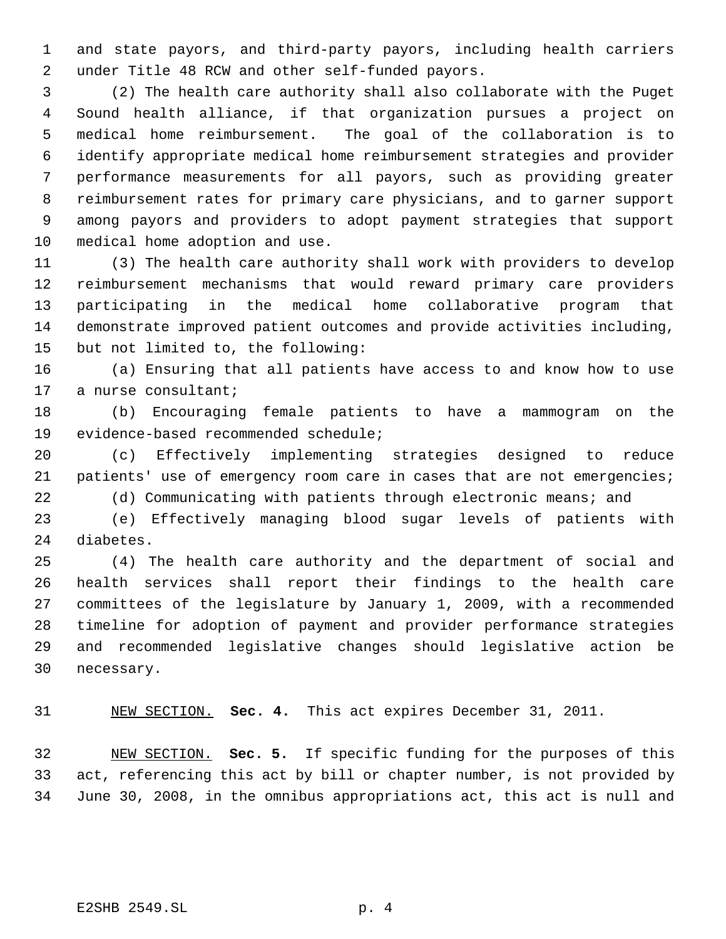and state payors, and third-party payors, including health carriers under Title 48 RCW and other self-funded payors.

 (2) The health care authority shall also collaborate with the Puget Sound health alliance, if that organization pursues a project on medical home reimbursement. The goal of the collaboration is to identify appropriate medical home reimbursement strategies and provider performance measurements for all payors, such as providing greater reimbursement rates for primary care physicians, and to garner support among payors and providers to adopt payment strategies that support medical home adoption and use.

 (3) The health care authority shall work with providers to develop reimbursement mechanisms that would reward primary care providers participating in the medical home collaborative program that demonstrate improved patient outcomes and provide activities including, but not limited to, the following:

 (a) Ensuring that all patients have access to and know how to use a nurse consultant;

 (b) Encouraging female patients to have a mammogram on the evidence-based recommended schedule;

 (c) Effectively implementing strategies designed to reduce 21 patients' use of emergency room care in cases that are not emergencies;

(d) Communicating with patients through electronic means; and

 (e) Effectively managing blood sugar levels of patients with diabetes.

 (4) The health care authority and the department of social and health services shall report their findings to the health care committees of the legislature by January 1, 2009, with a recommended timeline for adoption of payment and provider performance strategies and recommended legislative changes should legislative action be necessary.

NEW SECTION. **Sec. 4.** This act expires December 31, 2011.

 NEW SECTION. **Sec. 5.** If specific funding for the purposes of this act, referencing this act by bill or chapter number, is not provided by June 30, 2008, in the omnibus appropriations act, this act is null and